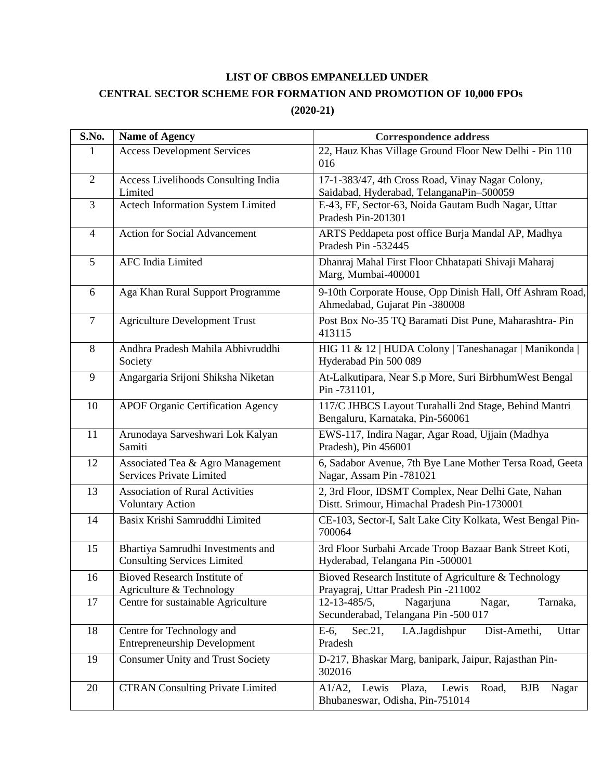## **LIST OF CBBOS EMPANELLED UNDER CENTRAL SECTOR SCHEME FOR FORMATION AND PROMOTION OF 10,000 FPOs (2020-21)**

| S.No.          | <b>Name of Agency</b>                                                   | <b>Correspondence address</b>                                                                            |
|----------------|-------------------------------------------------------------------------|----------------------------------------------------------------------------------------------------------|
| 1              | <b>Access Development Services</b>                                      | 22, Hauz Khas Village Ground Floor New Delhi - Pin 110<br>016                                            |
| $\overline{2}$ | Access Livelihoods Consulting India<br>Limited                          | 17-1-383/47, 4th Cross Road, Vinay Nagar Colony,<br>Saidabad, Hyderabad, TelanganaPin-500059             |
| $\overline{3}$ | Actech Information System Limited                                       | E-43, FF, Sector-63, Noida Gautam Budh Nagar, Uttar<br>Pradesh Pin-201301                                |
| $\overline{4}$ | <b>Action for Social Advancement</b>                                    | ARTS Peddapeta post office Burja Mandal AP, Madhya<br>Pradesh Pin -532445                                |
| 5              | <b>AFC</b> India Limited                                                | Dhanraj Mahal First Floor Chhatapati Shivaji Maharaj<br>Marg, Mumbai-400001                              |
| 6              | Aga Khan Rural Support Programme                                        | 9-10th Corporate House, Opp Dinish Hall, Off Ashram Road,<br>Ahmedabad, Gujarat Pin -380008              |
| $\overline{7}$ | <b>Agriculture Development Trust</b>                                    | Post Box No-35 TQ Baramati Dist Pune, Maharashtra-Pin<br>413115                                          |
| 8              | Andhra Pradesh Mahila Abhivruddhi<br>Society                            | HIG 11 & 12   HUDA Colony   Taneshanagar   Manikonda<br>Hyderabad Pin 500 089                            |
| 9              | Angargaria Srijoni Shiksha Niketan                                      | At-Lalkutipara, Near S.p More, Suri BirbhumWest Bengal<br>Pin-731101,                                    |
| 10             | <b>APOF Organic Certification Agency</b>                                | 117/C JHBCS Layout Turahalli 2nd Stage, Behind Mantri<br>Bengaluru, Karnataka, Pin-560061                |
| 11             | Arunodaya Sarveshwari Lok Kalyan<br>Samiti                              | EWS-117, Indira Nagar, Agar Road, Ujjain (Madhya<br>Pradesh), Pin 456001                                 |
| 12             | Associated Tea & Agro Management<br><b>Services Private Limited</b>     | 6, Sadabor Avenue, 7th Bye Lane Mother Tersa Road, Geeta<br>Nagar, Assam Pin -781021                     |
| 13             | <b>Association of Rural Activities</b><br><b>Voluntary Action</b>       | 2, 3rd Floor, IDSMT Complex, Near Delhi Gate, Nahan<br>Distt. Srimour, Himachal Pradesh Pin-1730001      |
| 14             | Basix Krishi Samruddhi Limited                                          | CE-103, Sector-I, Salt Lake City Kolkata, West Bengal Pin-<br>700064                                     |
| 15             | Bhartiya Samrudhi Investments and<br><b>Consulting Services Limited</b> | 3rd Floor Surbahi Arcade Troop Bazaar Bank Street Koti,<br>Hyderabad, Telangana Pin -500001              |
| 16             | Bioved Research Institute of<br>Agriculture & Technology                | Bioved Research Institute of Agriculture & Technology<br>Prayagraj, Uttar Pradesh Pin -211002            |
| 17             | Centre for sustainable Agriculture                                      | 12-13-485/5,<br>Nagarjuna<br>Nagar,<br>Tarnaka,<br>Secunderabad, Telangana Pin -500 017                  |
| 18             | Centre for Technology and<br><b>Entrepreneurship Development</b>        | E-6,<br>I.A.Jagdishpur<br>Dist-Amethi,<br>$Sec.21$ ,<br>Uttar<br>Pradesh                                 |
| 19             | <b>Consumer Unity and Trust Society</b>                                 | D-217, Bhaskar Marg, banipark, Jaipur, Rajasthan Pin-<br>302016                                          |
| 20             | <b>CTRAN Consulting Private Limited</b>                                 | Plaza,<br>$A1/A2$ ,<br>Lewis<br>Lewis<br>Road,<br><b>BJB</b><br>Nagar<br>Bhubaneswar, Odisha, Pin-751014 |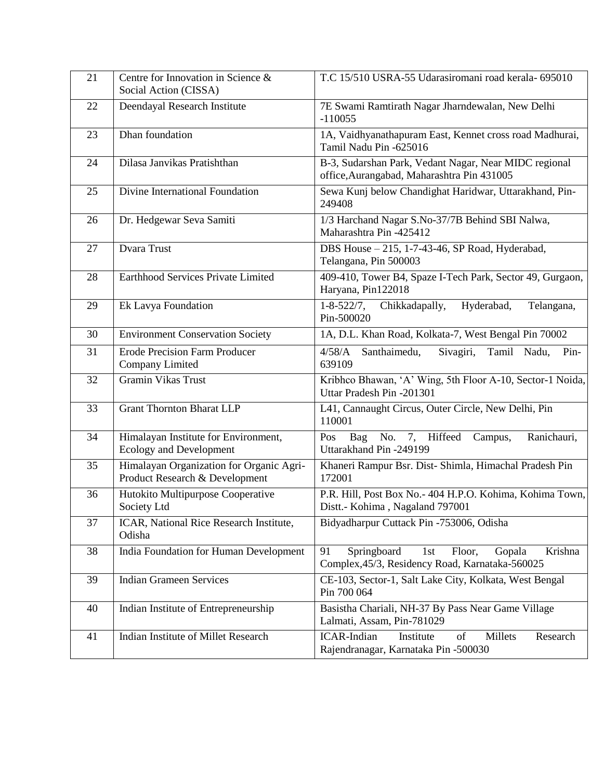| 21 | Centre for Innovation in Science &<br>Social Action (CISSA)                | T.C 15/510 USRA-55 Udarasiromani road kerala- 695010                                                       |
|----|----------------------------------------------------------------------------|------------------------------------------------------------------------------------------------------------|
| 22 | Deendayal Research Institute                                               | 7E Swami Ramtirath Nagar Jharndewalan, New Delhi<br>$-110055$                                              |
| 23 | Dhan foundation                                                            | 1A, Vaidhyanathapuram East, Kennet cross road Madhurai,<br>Tamil Nadu Pin -625016                          |
| 24 | Dilasa Janvikas Pratishthan                                                | B-3, Sudarshan Park, Vedant Nagar, Near MIDC regional<br>office, Aurangabad, Maharashtra Pin 431005        |
| 25 | Divine International Foundation                                            | Sewa Kunj below Chandighat Haridwar, Uttarakhand, Pin-<br>249408                                           |
| 26 | Dr. Hedgewar Seva Samiti                                                   | 1/3 Harchand Nagar S.No-37/7B Behind SBI Nalwa,<br>Maharashtra Pin -425412                                 |
| 27 | Dvara Trust                                                                | DBS House - 215, 1-7-43-46, SP Road, Hyderabad,<br>Telangana, Pin 500003                                   |
| 28 | Earthhood Services Private Limited                                         | 409-410, Tower B4, Spaze I-Tech Park, Sector 49, Gurgaon,<br>Haryana, Pin122018                            |
| 29 | Ek Lavya Foundation                                                        | $1 - 8 - 522/7$ ,<br>Hyderabad,<br>Chikkadapally,<br>Telangana,<br>Pin-500020                              |
| 30 | <b>Environment Conservation Society</b>                                    | 1A, D.L. Khan Road, Kolkata-7, West Bengal Pin 70002                                                       |
| 31 | <b>Erode Precision Farm Producer</b><br>Company Limited                    | Santhaimedu,<br>Tamil Nadu,<br>4/58/A<br>Sivagiri,<br>Pin-<br>639109                                       |
| 32 | <b>Gramin Vikas Trust</b>                                                  | Kribhco Bhawan, 'A' Wing, 5th Floor A-10, Sector-1 Noida,<br>Uttar Pradesh Pin -201301                     |
| 33 | <b>Grant Thornton Bharat LLP</b>                                           | L41, Cannaught Circus, Outer Circle, New Delhi, Pin<br>110001                                              |
| 34 | Himalayan Institute for Environment,<br>Ecology and Development            | Ranichauri,<br>No.<br>7, Hiffeed<br>Bag<br>Campus,<br>Pos<br>Uttarakhand Pin -249199                       |
| 35 | Himalayan Organization for Organic Agri-<br>Product Research & Development | Khaneri Rampur Bsr. Dist- Shimla, Himachal Pradesh Pin<br>172001                                           |
| 36 | Hutokito Multipurpose Cooperative<br>Society Ltd                           | P.R. Hill, Post Box No.- 404 H.P.O. Kohima, Kohima Town,<br>Distt.- Kohima, Nagaland 797001                |
| 37 | ICAR, National Rice Research Institute,<br>Odisha                          | Bidyadharpur Cuttack Pin -753006, Odisha                                                                   |
| 38 | India Foundation for Human Development                                     | 91<br>Springboard<br>1st<br>Floor,<br>Gopala<br>Krishna<br>Complex, 45/3, Residency Road, Karnataka-560025 |
| 39 | <b>Indian Grameen Services</b>                                             | CE-103, Sector-1, Salt Lake City, Kolkata, West Bengal<br>Pin 700 064                                      |
| 40 | Indian Institute of Entrepreneurship                                       | Basistha Chariali, NH-37 By Pass Near Game Village<br>Lalmati, Assam, Pin-781029                           |
| 41 | Indian Institute of Millet Research                                        | <b>ICAR-Indian</b><br>of<br>Research<br>Institute<br>Millets<br>Rajendranagar, Karnataka Pin -500030       |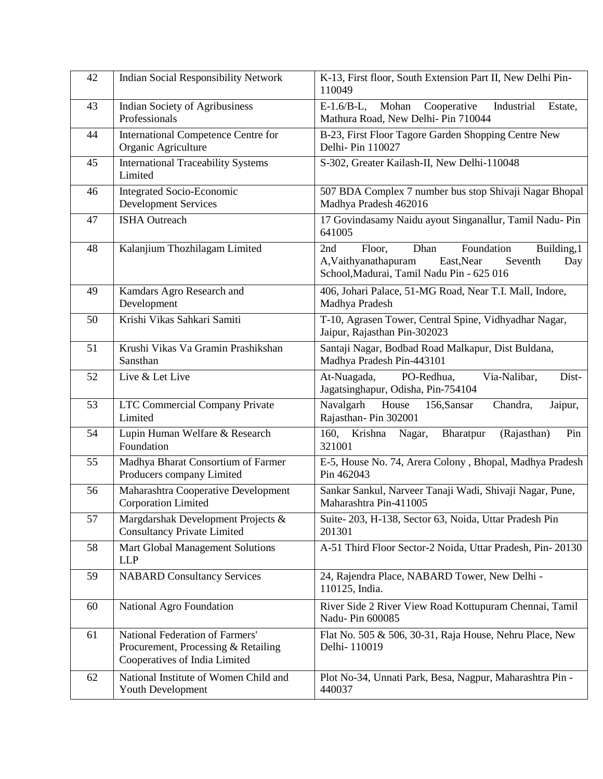| 42 | <b>Indian Social Responsibility Network</b>                                                             | K-13, First floor, South Extension Part II, New Delhi Pin-<br>110049                                                                                    |
|----|---------------------------------------------------------------------------------------------------------|---------------------------------------------------------------------------------------------------------------------------------------------------------|
| 43 | <b>Indian Society of Agribusiness</b><br>Professionals                                                  | Mohan<br>Cooperative<br>Industrial<br>$E-1.6/B-L$ ,<br>Estate,<br>Mathura Road, New Delhi- Pin 710044                                                   |
| 44 | International Competence Centre for<br>Organic Agriculture                                              | B-23, First Floor Tagore Garden Shopping Centre New<br>Delhi- Pin 110027                                                                                |
| 45 | <b>International Traceability Systems</b><br>Limited                                                    | S-302, Greater Kailash-II, New Delhi-110048                                                                                                             |
| 46 | Integrated Socio-Economic<br><b>Development Services</b>                                                | 507 BDA Complex 7 number bus stop Shivaji Nagar Bhopal<br>Madhya Pradesh 462016                                                                         |
| 47 | <b>ISHA Outreach</b>                                                                                    | 17 Govindasamy Naidu ayout Singanallur, Tamil Nadu-Pin<br>641005                                                                                        |
| 48 | Kalanjium Thozhilagam Limited                                                                           | Foundation<br>Floor,<br>Dhan<br>Building, 1<br>2nd<br>A, Vaithyanathapuram<br>East, Near<br>Seventh<br>Day<br>School, Madurai, Tamil Nadu Pin - 625 016 |
| 49 | Kamdars Agro Research and<br>Development                                                                | 406, Johari Palace, 51-MG Road, Near T.I. Mall, Indore,<br>Madhya Pradesh                                                                               |
| 50 | Krishi Vikas Sahkari Samiti                                                                             | T-10, Agrasen Tower, Central Spine, Vidhyadhar Nagar,<br>Jaipur, Rajasthan Pin-302023                                                                   |
| 51 | Krushi Vikas Va Gramin Prashikshan<br>Sansthan                                                          | Santaji Nagar, Bodbad Road Malkapur, Dist Buldana,<br>Madhya Pradesh Pin-443101                                                                         |
| 52 | Live & Let Live                                                                                         | At-Nuagada,<br>PO-Redhua,<br>Via-Nalibar,<br>Dist-<br>Jagatsinghapur, Odisha, Pin-754104                                                                |
| 53 | <b>LTC Commercial Company Private</b><br>Limited                                                        | Navalgarh<br>House<br>156,Sansar<br>Chandra,<br>Jaipur,<br>Rajasthan-Pin 302001                                                                         |
| 54 | Lupin Human Welfare & Research<br>Foundation                                                            | 160, Krishna<br>Nagar,<br>Bharatpur<br>(Rajasthan)<br>Pin<br>321001                                                                                     |
| 55 | Madhya Bharat Consortium of Farmer<br>Producers company Limited                                         | E-5, House No. 74, Arera Colony, Bhopal, Madhya Pradesh<br>Pin 462043                                                                                   |
| 56 | Maharashtra Cooperative Development<br><b>Corporation Limited</b>                                       | Sankar Sankul, Narveer Tanaji Wadi, Shivaji Nagar, Pune,<br>Maharashtra Pin-411005                                                                      |
| 57 | Margdarshak Development Projects &<br><b>Consultancy Private Limited</b>                                | Suite-203, H-138, Sector 63, Noida, Uttar Pradesh Pin<br>201301                                                                                         |
| 58 | Mart Global Management Solutions<br><b>LLP</b>                                                          | A-51 Third Floor Sector-2 Noida, Uttar Pradesh, Pin-20130                                                                                               |
| 59 | <b>NABARD Consultancy Services</b>                                                                      | 24, Rajendra Place, NABARD Tower, New Delhi -<br>110125, India.                                                                                         |
| 60 | <b>National Agro Foundation</b>                                                                         | River Side 2 River View Road Kottupuram Chennai, Tamil<br>Nadu- Pin 600085                                                                              |
| 61 | National Federation of Farmers'<br>Procurement, Processing & Retailing<br>Cooperatives of India Limited | Flat No. 505 & 506, 30-31, Raja House, Nehru Place, New<br>Delhi-110019                                                                                 |
| 62 | National Institute of Women Child and<br>Youth Development                                              | Plot No-34, Unnati Park, Besa, Nagpur, Maharashtra Pin -<br>440037                                                                                      |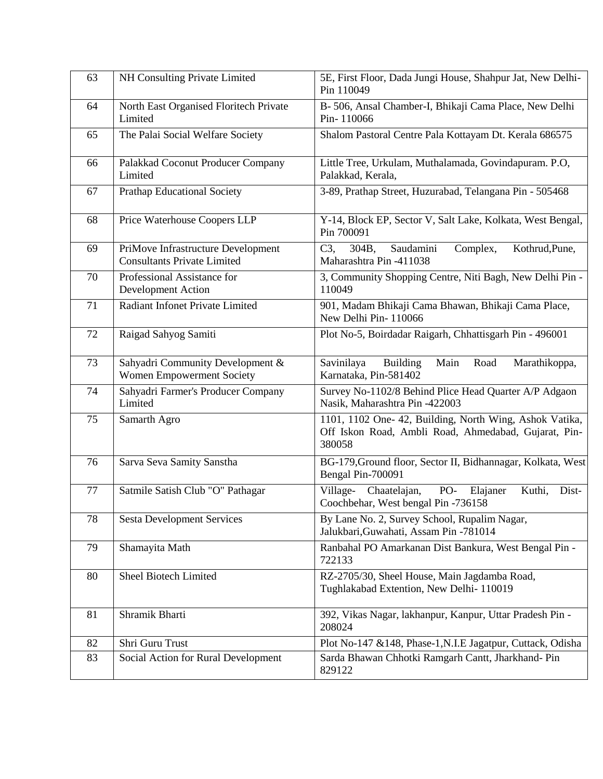| 63 | NH Consulting Private Limited                                            | 5E, First Floor, Dada Jungi House, Shahpur Jat, New Delhi-<br>Pin 110049                                                  |
|----|--------------------------------------------------------------------------|---------------------------------------------------------------------------------------------------------------------------|
| 64 | North East Organised Floritech Private<br>Limited                        | B- 506, Ansal Chamber-I, Bhikaji Cama Place, New Delhi<br>Pin-110066                                                      |
| 65 | The Palai Social Welfare Society                                         | Shalom Pastoral Centre Pala Kottayam Dt. Kerala 686575                                                                    |
| 66 | Palakkad Coconut Producer Company<br>Limited                             | Little Tree, Urkulam, Muthalamada, Govindapuram. P.O,<br>Palakkad, Kerala,                                                |
| 67 | <b>Prathap Educational Society</b>                                       | 3-89, Prathap Street, Huzurabad, Telangana Pin - 505468                                                                   |
| 68 | Price Waterhouse Coopers LLP                                             | Y-14, Block EP, Sector V, Salt Lake, Kolkata, West Bengal,<br>Pin 700091                                                  |
| 69 | PriMove Infrastructure Development<br><b>Consultants Private Limited</b> | C3.<br>304B,<br>Saudamini<br>Complex,<br>Kothrud, Pune,<br>Maharashtra Pin -411038                                        |
| 70 | Professional Assistance for<br>Development Action                        | 3, Community Shopping Centre, Niti Bagh, New Delhi Pin -<br>110049                                                        |
| 71 | Radiant Infonet Private Limited                                          | 901, Madam Bhikaji Cama Bhawan, Bhikaji Cama Place,<br>New Delhi Pin-110066                                               |
| 72 | Raigad Sahyog Samiti                                                     | Plot No-5, Boirdadar Raigarh, Chhattisgarh Pin - 496001                                                                   |
| 73 | Sahyadri Community Development &<br>Women Empowerment Society            | <b>Building</b><br>Savinilaya<br>Main<br>Road<br>Marathikoppa,<br>Karnataka, Pin-581402                                   |
| 74 | Sahyadri Farmer's Producer Company<br>Limited                            | Survey No-1102/8 Behind Plice Head Quarter A/P Adgaon<br>Nasik, Maharashtra Pin -422003                                   |
| 75 | Samarth Agro                                                             | 1101, 1102 One- 42, Building, North Wing, Ashok Vatika,<br>Off Iskon Road, Ambli Road, Ahmedabad, Gujarat, Pin-<br>380058 |
| 76 | Sarva Seva Samity Sanstha                                                | BG-179, Ground floor, Sector II, Bidhannagar, Kolkata, West<br>Bengal Pin-700091                                          |
| 77 | Satmile Satish Club "O" Pathagar                                         | Village-<br>Chaatelajan,<br>PO-<br>Elajaner<br>Kuthi,<br>Dist-<br>Coochbehar, West bengal Pin -736158                     |
| 78 | <b>Sesta Development Services</b>                                        | By Lane No. 2, Survey School, Rupalim Nagar,<br>Jalukbari, Guwahati, Assam Pin -781014                                    |
| 79 | Shamayita Math                                                           | Ranbahal PO Amarkanan Dist Bankura, West Bengal Pin -<br>722133                                                           |
| 80 | Sheel Biotech Limited                                                    | RZ-2705/30, Sheel House, Main Jagdamba Road,<br>Tughlakabad Extention, New Delhi-110019                                   |
| 81 | Shramik Bharti                                                           | 392, Vikas Nagar, lakhanpur, Kanpur, Uttar Pradesh Pin -<br>208024                                                        |
| 82 | Shri Guru Trust                                                          | Plot No-147 &148, Phase-1, N.I.E Jagatpur, Cuttack, Odisha                                                                |
| 83 | Social Action for Rural Development                                      | Sarda Bhawan Chhotki Ramgarh Cantt, Jharkhand-Pin<br>829122                                                               |